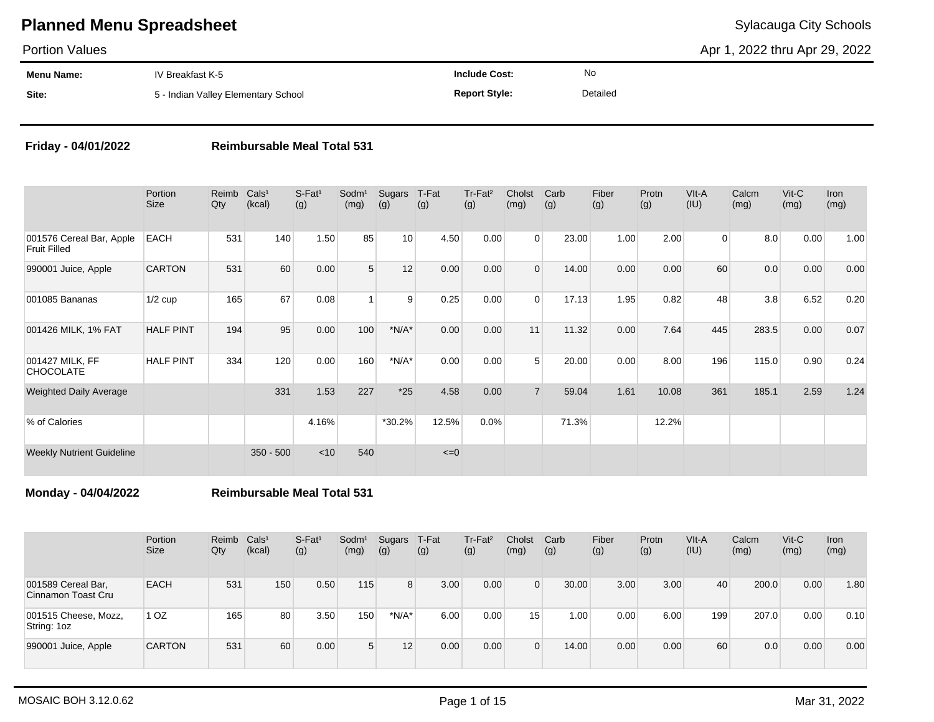Portion Values

Apr 1, 2022 thru Apr 29, 2022

| Menu Name: | IV Breakfast K-5                    | <b>Include Cost:</b> | No       |
|------------|-------------------------------------|----------------------|----------|
| Site:      | 5 - Indian Valley Elementary School | <b>Report Style:</b> | Detailed |

### **Friday - 04/01/2022 Reimbursable Meal Total 531**

|                                                 | Portion<br><b>Size</b> | Reimb<br>Qty | Cals <sup>1</sup><br>(kcal) | $S-Fat1$<br>(g) | Sodm <sup>1</sup><br>(mg) | Sugars<br>(g) | T-Fat<br>(g) | Tr-Fat <sup>2</sup><br>(g) | Cholst<br>(mg) | Carb<br>(g) | Fiber<br>(g) | Protn<br>(g) | VIt-A<br>(IU)  | Calcm<br>(mg) | $V$ it-C<br>(mg) | Iron<br>(mg) |
|-------------------------------------------------|------------------------|--------------|-----------------------------|-----------------|---------------------------|---------------|--------------|----------------------------|----------------|-------------|--------------|--------------|----------------|---------------|------------------|--------------|
| 001576 Cereal Bar, Apple<br><b>Fruit Filled</b> | <b>EACH</b>            | 531          | 140                         | 1.50            | 85                        | 10            | 4.50         | 0.00                       | $\Omega$       | 23.00       | 1.00         | 2.00         | $\overline{0}$ | 8.0           | 0.00             | 1.00         |
| 990001 Juice, Apple                             | <b>CARTON</b>          | 531          | 60                          | 0.00            | 5                         | 12            | 0.00         | 0.00                       | $\mathbf{0}$   | 14.00       | 0.00         | 0.00         | 60             | 0.0           | 0.00             | 0.00         |
| 001085 Bananas                                  | $1/2$ cup              | 165          | 67                          | 0.08            |                           | 9             | 0.25         | 0.00                       | $\mathbf 0$    | 17.13       | 1.95         | 0.82         | 48             | 3.8           | 6.52             | 0.20         |
| 001426 MILK, 1% FAT                             | <b>HALF PINT</b>       | 194          | 95                          | 0.00            | 100                       | $*N/A*$       | 0.00         | 0.00                       | 11             | 11.32       | 0.00         | 7.64         | 445            | 283.5         | 0.00             | 0.07         |
| 001427 MILK, FF<br><b>CHOCOLATE</b>             | <b>HALF PINT</b>       | 334          | 120                         | 0.00            | 160                       | $*N/A*$       | 0.00         | 0.00                       | 5              | 20.00       | 0.00         | 8.00         | 196            | 115.0         | 0.90             | 0.24         |
| <b>Weighted Daily Average</b>                   |                        |              | 331                         | 1.53            | 227                       | $*25$         | 4.58         | 0.00                       | $\overline{7}$ | 59.04       | 1.61         | 10.08        | 361            | 185.1         | 2.59             | 1.24         |
| % of Calories                                   |                        |              |                             | 4.16%           |                           | $*30.2%$      | 12.5%        | 0.0%                       |                | 71.3%       |              | 12.2%        |                |               |                  |              |
| <b>Weekly Nutrient Guideline</b>                |                        |              | $350 - 500$                 | $<$ 10          | 540                       |               | $\leq=0$     |                            |                |             |              |              |                |               |                  |              |

**Monday - 04/04/2022 Reimbursable Meal Total 531**

|                                          | Portion<br><b>Size</b> | Reimb<br>Qty | Cals <sup>1</sup><br>(kcal) | S-Fat <sup>1</sup><br>(g) | Sodm <sup>1</sup><br>(mg) | Sugars<br>(g) | T-Fat<br>(g) | Tr-Fat <sup>2</sup><br>(g) | Cholst<br>(mg) | Carb<br>(g) | Fiber<br>(g) | Protn<br>(g) | VIt-A<br>(IU) | Calcm<br>(mg) | $V$ it-C<br>(mg) | <b>Iron</b><br>(mg) |
|------------------------------------------|------------------------|--------------|-----------------------------|---------------------------|---------------------------|---------------|--------------|----------------------------|----------------|-------------|--------------|--------------|---------------|---------------|------------------|---------------------|
| 001589 Cereal Bar,<br>Cinnamon Toast Cru | <b>EACH</b>            | 531          | 150                         | 0.50                      | 115                       | 8             | 3.00         | 0.00                       | 0              | 30.00       | 3.00         | 3.00         | 40            | 200.0         | 0.00             | 1.80                |
| 001515 Cheese, Mozz,<br>String: 1oz      | 1 OZ                   | 165          | 80                          | 3.50                      | 150                       | $*N/A*$       | 6.00         | 0.00                       | 15             | 1.00        | 0.00         | 6.00         | 199           | 207.0         | 0.00             | 0.10                |
| 990001 Juice, Apple                      | <b>CARTON</b>          | 531          | 60                          | 0.00                      | 5                         | 12            | 0.00         | 0.00                       |                | 14.00       | 0.00         | 0.00         | 60            | 0.0           | 0.00             | 0.00                |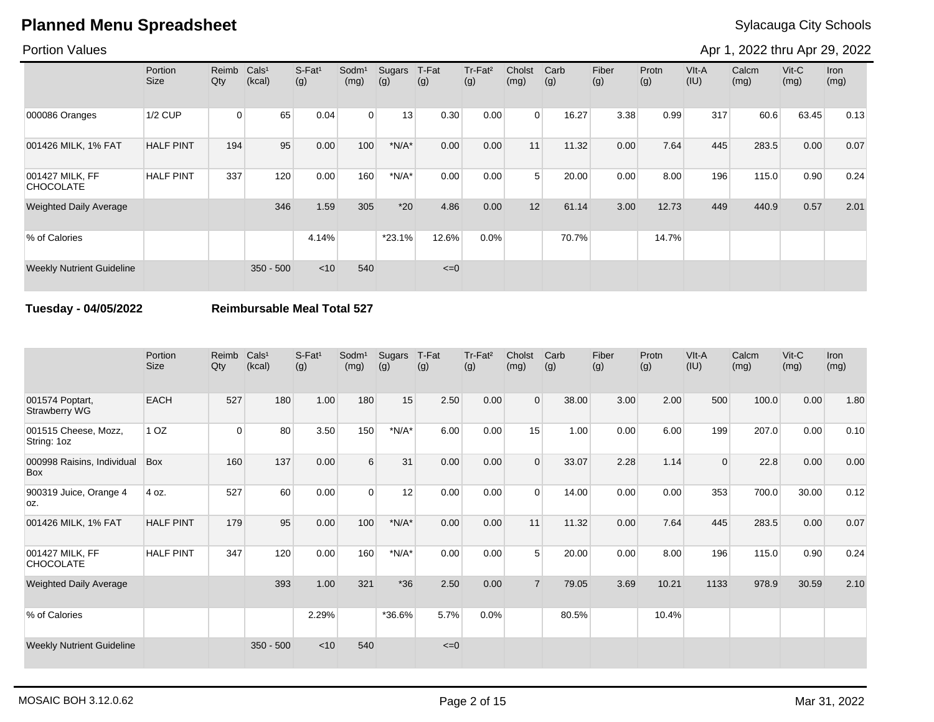### Portion Values

Apr 1, 2022 thru Apr 29, 2022

|                                     | Portion<br><b>Size</b> | Reimb<br>Qty | Cals <sup>1</sup><br>(kcal) | S-Fat <sup>1</sup><br>(g) | Sodm <sup>1</sup><br>(mg) | Sugars<br>(g) | T-Fat<br>(g) | Tr-Fat <sup>2</sup><br>(g) | Cholst<br>(mg) | Carb<br>(g) | Fiber<br>(g) | Protn<br>(g) | VIt-A<br>(IU) | Calcm<br>(mg) | $V$ it-C<br>(mg) | Iron<br>(mg) |
|-------------------------------------|------------------------|--------------|-----------------------------|---------------------------|---------------------------|---------------|--------------|----------------------------|----------------|-------------|--------------|--------------|---------------|---------------|------------------|--------------|
| 000086 Oranges                      | 1/2 CUP                | $\Omega$     | 65                          | 0.04                      | $\overline{0}$            | 13            | 0.30         | 0.00                       | $\Omega$       | 16.27       | 3.38         | 0.99         | 317           | 60.6          | 63.45            | 0.13         |
| 001426 MILK, 1% FAT                 | <b>HALF PINT</b>       | 194          | 95                          | 0.00                      | 100                       | $*N/A*$       | 0.00         | 0.00                       | 11             | 11.32       | 0.00         | 7.64         | 445           | 283.5         | 0.00             | 0.07         |
| 001427 MILK, FF<br><b>CHOCOLATE</b> | <b>HALF PINT</b>       | 337          | 120                         | 0.00                      | 160                       | $*N/A*$       | 0.00         | 0.00                       | 5 <sup>1</sup> | 20.00       | 0.00         | 8.00         | 196           | 115.0         | 0.90             | 0.24         |
| <b>Weighted Daily Average</b>       |                        |              | 346                         | 1.59                      | 305                       | $*20$         | 4.86         | 0.00                       | 12             | 61.14       | 3.00         | 12.73        | 449           | 440.9         | 0.57             | 2.01         |
| % of Calories                       |                        |              |                             | 4.14%                     |                           | $*23.1%$      | 12.6%        | 0.0%                       |                | 70.7%       |              | 14.7%        |               |               |                  |              |
| <b>Weekly Nutrient Guideline</b>    |                        |              | $350 - 500$                 | $<$ 10                    | 540                       |               | $\leq=0$     |                            |                |             |              |              |               |               |                  |              |

### **Tuesday - 04/05/2022 Reimbursable Meal Total 527**

|                                     | Portion<br>Size  | Reimb<br>Qty | Cals <sup>1</sup><br>(kcal) | $S-Fat1$<br>(g) | Sodm <sup>1</sup><br>(mg) | Sugars<br>(g) | T-Fat<br>(g) | Tr-Fat <sup>2</sup><br>(g) | Cholst<br>(mg) | Carb<br>(g) | Fiber<br>(g) | Protn<br>(g) | VIt-A<br>(IU) | Calcm<br>(mg) | $V$ it-C<br>(mg) | Iron<br>(mg) |
|-------------------------------------|------------------|--------------|-----------------------------|-----------------|---------------------------|---------------|--------------|----------------------------|----------------|-------------|--------------|--------------|---------------|---------------|------------------|--------------|
| 001574 Poptart,<br>Strawberry WG    | <b>EACH</b>      | 527          | 180                         | 1.00            | 180                       | 15            | 2.50         | 0.00                       | $\Omega$       | 38.00       | 3.00         | 2.00         | 500           | 100.0         | 0.00             | 1.80         |
| 001515 Cheese, Mozz,<br>String: 1oz | 1 <sub>OZ</sub>  | $\Omega$     | 80                          | 3.50            | 150                       | $*N/A*$       | 6.00         | 0.00                       | 15             | 1.00        | 0.00         | 6.00         | 199           | 207.0         | 0.00             | 0.10         |
| 000998 Raisins, Individual<br>Box   | <b>Box</b>       | 160          | 137                         | 0.00            | 6                         | 31            | 0.00         | 0.00                       | $\Omega$       | 33.07       | 2.28         | 1.14         | $\Omega$      | 22.8          | 0.00             | 0.00         |
| 900319 Juice, Orange 4<br>loz.      | 4 oz.            | 527          | 60                          | 0.00            | $\Omega$                  | 12            | 0.00         | 0.00                       | $\Omega$       | 14.00       | 0.00         | 0.00         | 353           | 700.0         | 30.00            | 0.12         |
| 001426 MILK, 1% FAT                 | <b>HALF PINT</b> | 179          | 95                          | 0.00            | 100                       | $*N/A*$       | 0.00         | 0.00                       | 11             | 11.32       | 0.00         | 7.64         | 445           | 283.5         | 0.00             | 0.07         |
| 001427 MILK, FF<br><b>CHOCOLATE</b> | <b>HALF PINT</b> | 347          | 120                         | 0.00            | 160                       | $*N/A*$       | 0.00         | 0.00                       | 5              | 20.00       | 0.00         | 8.00         | 196           | 115.0         | 0.90             | 0.24         |
| <b>Weighted Daily Average</b>       |                  |              | 393                         | 1.00            | 321                       | $*36$         | 2.50         | 0.00                       | $\overline{7}$ | 79.05       | 3.69         | 10.21        | 1133          | 978.9         | 30.59            | 2.10         |
| % of Calories                       |                  |              |                             | 2.29%           |                           | $*36.6%$      | 5.7%         | $0.0\%$                    |                | 80.5%       |              | 10.4%        |               |               |                  |              |
| <b>Weekly Nutrient Guideline</b>    |                  |              | $350 - 500$                 | $<$ 10          | 540                       |               | $\leq=0$     |                            |                |             |              |              |               |               |                  |              |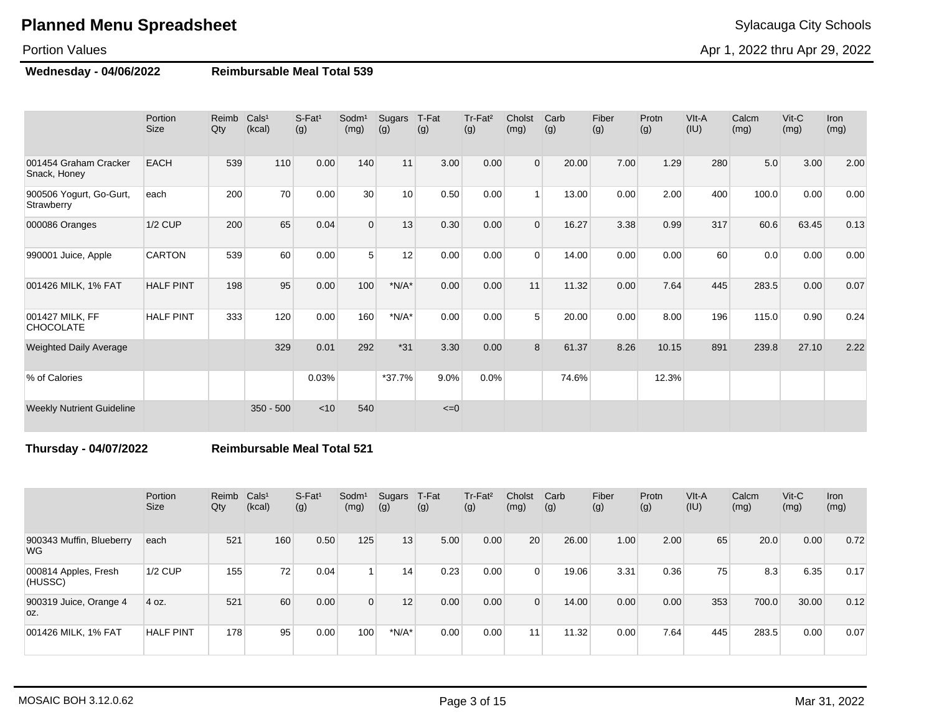### Portion Values

**Wednesday - 04/06/2022 Reimbursable Meal Total 539**

|                                       | Portion<br><b>Size</b> | Reimb<br>Qty | Cals <sup>1</sup><br>(kcal) | $S-Fat1$<br>(g) | Sodm <sup>1</sup><br>(mg) | Sugars<br>(g)   | T-Fat<br>(g) | Tr-Fat <sup>2</sup><br>(g) | Cholst<br>(mg) | Carb<br>(g) | Fiber<br>(g) | Protn<br>(g) | VIt-A<br>(IU) | Calcm<br>(mg) | $V$ it-C<br>(mg) | Iron<br>(mg) |
|---------------------------------------|------------------------|--------------|-----------------------------|-----------------|---------------------------|-----------------|--------------|----------------------------|----------------|-------------|--------------|--------------|---------------|---------------|------------------|--------------|
| 001454 Graham Cracker<br>Snack, Honey | <b>EACH</b>            | 539          | 110                         | 0.00            | 140                       | 11              | 3.00         | 0.00                       | $\Omega$       | 20.00       | 7.00         | 1.29         | 280           | 5.0           | 3.00             | 2.00         |
| 900506 Yogurt, Go-Gurt,<br>Strawberry | each                   | 200          | 70                          | 0.00            | 30                        | 10 <sup>1</sup> | 0.50         | 0.00                       |                | 13.00       | 0.00         | 2.00         | 400           | 100.0         | 0.00             | 0.00         |
| 000086 Oranges                        | $1/2$ CUP              | 200          | 65                          | 0.04            | $\Omega$                  | 13              | 0.30         | 0.00                       | $\Omega$       | 16.27       | 3.38         | 0.99         | 317           | 60.6          | 63.45            | 0.13         |
| 990001 Juice, Apple                   | <b>CARTON</b>          | 539          | 60                          | 0.00            | 5                         | 12              | 0.00         | 0.00                       | $\Omega$       | 14.00       | 0.00         | 0.00         | 60            | 0.0           | 0.00             | 0.00         |
| 001426 MILK, 1% FAT                   | <b>HALF PINT</b>       | 198          | 95                          | 0.00            | 100                       | $*N/A*$         | 0.00         | 0.00                       | 11             | 11.32       | 0.00         | 7.64         | 445           | 283.5         | 0.00             | 0.07         |
| 001427 MILK, FF<br><b>CHOCOLATE</b>   | <b>HALF PINT</b>       | 333          | 120                         | 0.00            | 160                       | $*N/A*$         | 0.00         | 0.00                       | 5 <sub>1</sub> | 20.00       | 0.00         | 8.00         | 196           | 115.0         | 0.90             | 0.24         |
| <b>Weighted Daily Average</b>         |                        |              | 329                         | 0.01            | 292                       | $*31$           | 3.30         | 0.00                       | 8              | 61.37       | 8.26         | 10.15        | 891           | 239.8         | 27.10            | 2.22         |
| % of Calories                         |                        |              |                             | 0.03%           |                           | $*37.7%$        | 9.0%         | 0.0%                       |                | 74.6%       |              | 12.3%        |               |               |                  |              |
| <b>Weekly Nutrient Guideline</b>      |                        |              | $350 - 500$                 | < 10            | 540                       |                 | $\leq=0$     |                            |                |             |              |              |               |               |                  |              |

**Thursday - 04/07/2022 Reimbursable Meal Total 521**

|                                 | Portion<br><b>Size</b> | Reimb<br>Qty | Cals <sup>1</sup><br>(kcal) | S-Fat <sup>1</sup><br>(g) | Sodm <sup>1</sup><br>(mg) | Sugars<br>(g) | T-Fat<br>(g) | Tr-Fat <sup>2</sup><br>(g) | Cholst<br>(mg) | Carb<br>(g) | Fiber<br>(g) | Protn<br>(g) | VIt-A<br>(IU) | Calcm<br>(mg) | $Vit-C$<br>(mg) | Iron<br>(mg) |
|---------------------------------|------------------------|--------------|-----------------------------|---------------------------|---------------------------|---------------|--------------|----------------------------|----------------|-------------|--------------|--------------|---------------|---------------|-----------------|--------------|
| 900343 Muffin, Blueberry<br>WG. | each                   | 521          | 160                         | 0.50                      | 125                       | 13            | 5.00         | 0.00                       | 20             | 26.00       | 1.00         | 2.00         | 65            | 20.0          | 0.00            | 0.72         |
| 000814 Apples, Fresh<br>(HUSSC) | $1/2$ CUP              | 155          | 72                          | 0.04                      |                           | 14            | 0.23         | 0.00                       | $\Omega$       | 19.06       | 3.31         | 0.36         | 75            | 8.3           | 6.35            | 0.17         |
| 900319 Juice, Orange 4<br>OZ.   | 4 oz.                  | 521          | 60                          | 0.00                      | $\overline{0}$            | 12            | 0.00         | 0.00                       | $\Omega$       | 14.00       | 0.00         | 0.00         | 353           | 700.0         | 30.00           | 0.12         |
| 001426 MILK, 1% FAT             | <b>HALF PINT</b>       | 178          | 95                          | 0.00                      | 100                       | $*N/A*$       | 0.00         | 0.00                       | 11             | 11.32       | 0.00         | 7.64         | 445           | 283.5         | 0.00            | 0.07         |

Apr 1, 2022 thru Apr 29, 2022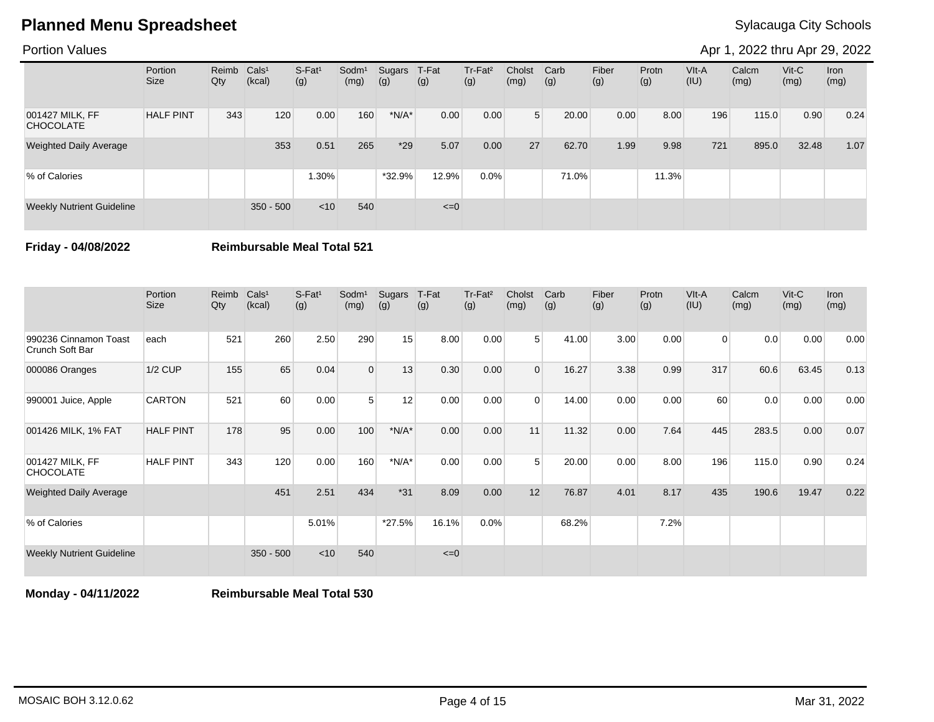### Portion Values

Apr 1, 2022 thru Apr 29, 2022

|                                     | Portion<br>Size  | Reimb Cals <sup>1</sup><br>Qty | (kcal)      | S-Fat <sup>1</sup><br>(g) | Sodm <sup>1</sup><br>(mg) | Sugars<br>(g) | T-Fat<br>(g) | Tr-Fat <sup>2</sup><br>(g) | Cholst<br>(mg) | Carb<br>(g) | Fiber<br>(g) | Protn<br>(g) | VIt-A<br>(IU) | Calcm<br>(mg) | $V$ it-C<br>(mg) | Iron<br>(mg) |
|-------------------------------------|------------------|--------------------------------|-------------|---------------------------|---------------------------|---------------|--------------|----------------------------|----------------|-------------|--------------|--------------|---------------|---------------|------------------|--------------|
| 001427 MILK, FF<br><b>CHOCOLATE</b> | <b>HALF PINT</b> | 343                            | 120         | 0.00                      | 160                       | $*N/A*$       | 0.00         | 0.00                       | 5 <sup>1</sup> | 20.00       | 0.00         | 8.00         | 196           | 115.0         | 0.90             | 0.24         |
| <b>Weighted Daily Average</b>       |                  |                                | 353         | 0.51                      | 265                       | $*29$         | 5.07         | 0.00                       | 27             | 62.70       | 1.99         | 9.98         | 721           | 895.0         | 32.48            | 1.07         |
| % of Calories                       |                  |                                |             | 1.30%                     |                           | *32.9%        | 12.9%        | $0.0\%$                    |                | 71.0%       |              | 11.3%        |               |               |                  |              |
| <b>Weekly Nutrient Guideline</b>    |                  |                                | $350 - 500$ | < 10                      | 540                       |               | $\leq=0$     |                            |                |             |              |              |               |               |                  |              |

**Friday - 04/08/2022 Reimbursable Meal Total 521**

|                                          | Portion<br><b>Size</b> | Reimb<br>Qty | Cals <sup>1</sup><br>(kcal) | S-Fat <sup>1</sup><br>(g) | Sodm <sup>1</sup><br>(mg) | Sugars<br>(g) | T-Fat<br>(g) | Tr-Fat <sup>2</sup><br>(g) | Cholst<br>(mg) | Carb<br>(g) | Fiber<br>(g) | Protn<br>(g) | VIt-A<br>(IU)  | Calcm<br>(mg) | $V$ it- $C$<br>(mg) | <b>Iron</b><br>(mg) |
|------------------------------------------|------------------------|--------------|-----------------------------|---------------------------|---------------------------|---------------|--------------|----------------------------|----------------|-------------|--------------|--------------|----------------|---------------|---------------------|---------------------|
| 990236 Cinnamon Toast<br>Crunch Soft Bar | each                   | 521          | 260                         | 2.50                      | 290                       | 15            | 8.00         | 0.00                       | 5 <sup>1</sup> | 41.00       | 3.00         | 0.00         | $\overline{0}$ | 0.0           | 0.00                | 0.00                |
| 000086 Oranges                           | <b>1/2 CUP</b>         | 155          | 65                          | 0.04                      | $\Omega$                  | 13            | 0.30         | 0.00                       | $\Omega$       | 16.27       | 3.38         | 0.99         | 317            | 60.6          | 63.45               | 0.13                |
| 990001 Juice, Apple                      | <b>CARTON</b>          | 521          | 60                          | 0.00                      | 5                         | 12            | 0.00         | 0.00                       | $\Omega$       | 14.00       | 0.00         | 0.00         | 60             | 0.0           | 0.00                | 0.00                |
| 001426 MILK, 1% FAT                      | <b>HALF PINT</b>       | 178          | 95                          | 0.00                      | 100                       | $*N/A*$       | 0.00         | 0.00                       | 11             | 11.32       | 0.00         | 7.64         | 445            | 283.5         | 0.00                | 0.07                |
| 001427 MILK, FF<br><b>CHOCOLATE</b>      | <b>HALF PINT</b>       | 343          | 120                         | 0.00                      | 160                       | $*N/A*$       | 0.00         | 0.00                       | 5              | 20.00       | 0.00         | 8.00         | 196            | 115.0         | 0.90                | 0.24                |
| <b>Weighted Daily Average</b>            |                        |              | 451                         | 2.51                      | 434                       | $*31$         | 8.09         | 0.00                       | 12             | 76.87       | 4.01         | 8.17         | 435            | 190.6         | 19.47               | 0.22                |
| % of Calories                            |                        |              |                             | 5.01%                     |                           | *27.5%        | 16.1%        | 0.0%                       |                | 68.2%       |              | 7.2%         |                |               |                     |                     |
| <b>Weekly Nutrient Guideline</b>         |                        |              | $350 - 500$                 | $<$ 10                    | 540                       |               | $\leq=0$     |                            |                |             |              |              |                |               |                     |                     |

**Monday - 04/11/2022 Reimbursable Meal Total 530**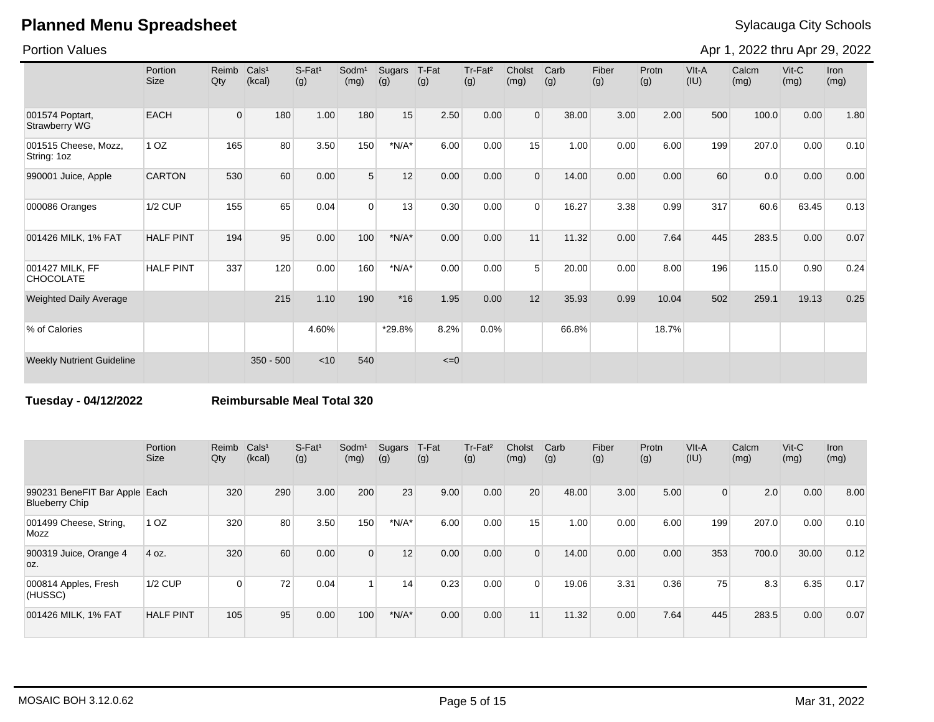Portion Values

Apr 1, 2022 thru Apr 29, 2022

|                                         | Portion<br><b>Size</b> | Reimb<br>Qty   | Cals <sup>1</sup><br>(kcal) | S-Fat <sup>1</sup><br>(g) | Sodm <sup>1</sup><br>(mg) | Sugars<br>(g) | T-Fat<br>(g) | Tr-Fat <sup>2</sup><br>(g) | Cholst<br>(mg) | Carb<br>(g) | Fiber<br>(g) | Protn<br>(g) | VIt-A<br>(IU) | Calcm<br>(mg) | $V$ it-C<br>(mg) | <b>Iron</b><br>(mg) |
|-----------------------------------------|------------------------|----------------|-----------------------------|---------------------------|---------------------------|---------------|--------------|----------------------------|----------------|-------------|--------------|--------------|---------------|---------------|------------------|---------------------|
| 001574 Poptart,<br><b>Strawberry WG</b> | <b>EACH</b>            | $\overline{0}$ | 180                         | 1.00                      | 180                       | 15            | 2.50         | 0.00                       | $\Omega$       | 38.00       | 3.00         | 2.00         | 500           | 100.0         | 0.00             | 1.80                |
| 001515 Cheese, Mozz,<br>String: 1oz     | 1 <sub>OZ</sub>        | 165            | 80                          | 3.50                      | 150                       | $*N/A*$       | 6.00         | 0.00                       | 15             | 1.00        | 0.00         | 6.00         | 199           | 207.0         | 0.00             | 0.10                |
| 990001 Juice, Apple                     | <b>CARTON</b>          | 530            | 60                          | 0.00                      | 5 <sup>5</sup>            | 12            | 0.00         | 0.00                       | $\Omega$       | 14.00       | 0.00         | 0.00         | 60            | 0.0           | 0.00             | 0.00                |
| 000086 Oranges                          | <b>1/2 CUP</b>         | 155            | 65                          | 0.04                      | $\Omega$                  | 13            | 0.30         | 0.00                       | $\Omega$       | 16.27       | 3.38         | 0.99         | 317           | 60.6          | 63.45            | 0.13                |
| 001426 MILK, 1% FAT                     | <b>HALF PINT</b>       | 194            | 95                          | 0.00                      | 100                       | $*N/A*$       | 0.00         | 0.00                       | 11             | 11.32       | 0.00         | 7.64         | 445           | 283.5         | 0.00             | 0.07                |
| 001427 MILK, FF<br><b>CHOCOLATE</b>     | <b>HALF PINT</b>       | 337            | 120                         | 0.00                      | 160                       | $*N/A*$       | 0.00         | 0.00                       | 5              | 20.00       | 0.00         | 8.00         | 196           | 115.0         | 0.90             | 0.24                |
| <b>Weighted Daily Average</b>           |                        |                | 215                         | 1.10                      | 190                       | $*16$         | 1.95         | 0.00                       | 12             | 35.93       | 0.99         | 10.04        | 502           | 259.1         | 19.13            | 0.25                |
| % of Calories                           |                        |                |                             | 4.60%                     |                           | *29.8%        | 8.2%         | 0.0%                       |                | 66.8%       |              | 18.7%        |               |               |                  |                     |
| <b>Weekly Nutrient Guideline</b>        |                        |                | $350 - 500$                 | < 10                      | 540                       |               | $\leq=0$     |                            |                |             |              |              |               |               |                  |                     |

**Tuesday - 04/12/2022 Reimbursable Meal Total 320**

|                                                        | Portion<br>Size  | Reimb<br>Qty | Cals <sup>1</sup><br>(kcal) | $S-Fat1$<br>(g) | Sodm <sup>1</sup><br>(mg) | Sugars<br>(g) | T-Fat<br>(g) | Tr-Fat <sup>2</sup><br>(g) | Cholst<br>(mg) | Carb<br>(g) | Fiber<br>(g) | Protn<br>(g) | VIt-A<br>(IU)  | Calcm<br>(mg) | $V$ it-C<br>(mg) | <b>Iron</b><br>(mg) |
|--------------------------------------------------------|------------------|--------------|-----------------------------|-----------------|---------------------------|---------------|--------------|----------------------------|----------------|-------------|--------------|--------------|----------------|---------------|------------------|---------------------|
| 990231 BeneFIT Bar Apple Each<br><b>Blueberry Chip</b> |                  | 320          | 290                         | 3.00            | 200                       | 23            | 9.00         | 0.00                       | 20             | 48.00       | 3.00         | 5.00         | $\overline{0}$ | 2.0           | 0.00             | 8.00                |
| 001499 Cheese, String,<br>Mozz                         | 1 <sub>OZ</sub>  | 320          | 80                          | 3.50            | 150                       | $*N/A*$       | 6.00         | 0.00                       | 15             | 1.00        | 0.00         | 6.00         | 199            | 207.0         | 0.00             | 0.10                |
| 900319 Juice, Orange 4<br>OZ.                          | 4 oz.            | 320          | 60                          | 0.00            | $\Omega$                  | 12            | 0.00         | 0.00                       | $\Omega$       | 14.00       | 0.00         | 0.00         | 353            | 700.0         | 30.00            | 0.12                |
| 000814 Apples, Fresh<br>(HUSSC)                        | 1/2 CUP          | $\Omega$     | 72                          | 0.04            |                           | 14            | 0.23         | 0.00                       | $\Omega$       | 19.06       | 3.31         | 0.36         | 75             | 8.3           | 6.35             | 0.17                |
| 001426 MILK, 1% FAT                                    | <b>HALF PINT</b> | 105          | 95                          | 0.00            | 100                       | $*N/A*$       | 0.00         | 0.00                       | 11             | 11.32       | 0.00         | 7.64         | 445            | 283.5         | 0.00             | 0.07                |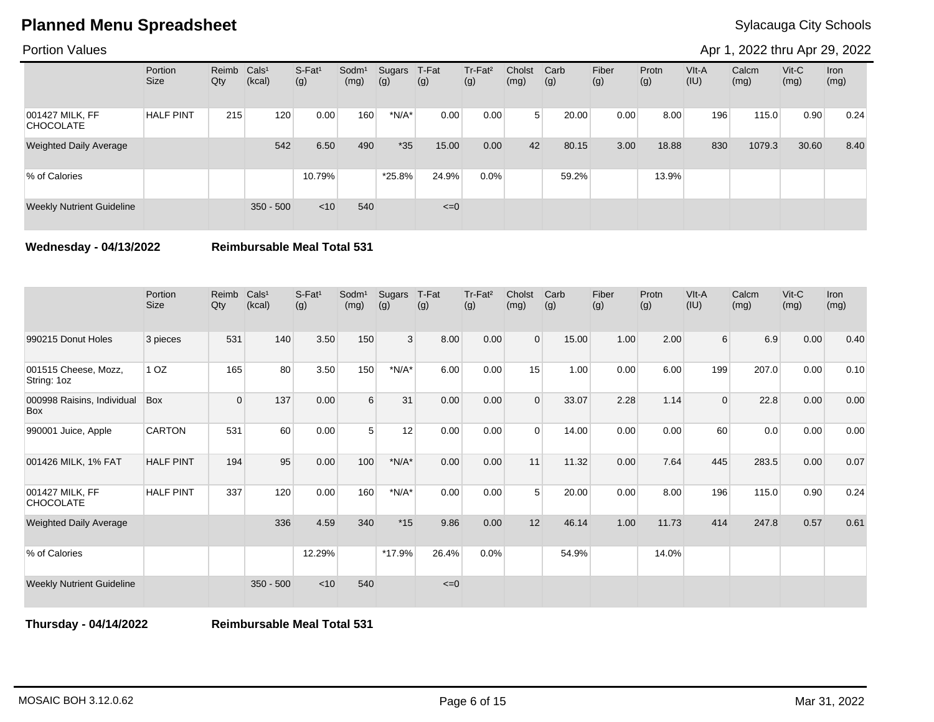### Portion Values

Apr 1, 2022 thru Apr 29, 2022

|                                     | Portion<br>Size  | Reimb Cals <sup>1</sup><br>Qty | (kcal)      | S-Fat <sup>1</sup><br>(g) | Sodm <sup>1</sup><br>(mg) | Sugars<br>(g) | T-Fat<br>(g) | Tr-Fat <sup>2</sup><br>(g) | Cholst<br>(mg) | Carb<br>(g) | Fiber<br>(g) | Protn<br>(g) | VIt-A<br>(IU) | Calcm<br>(mg) | $V$ it-C<br>(mg) | Iron<br>(mg) |
|-------------------------------------|------------------|--------------------------------|-------------|---------------------------|---------------------------|---------------|--------------|----------------------------|----------------|-------------|--------------|--------------|---------------|---------------|------------------|--------------|
| 001427 MILK, FF<br><b>CHOCOLATE</b> | <b>HALF PINT</b> | 215                            | 120         | 0.00                      | 160                       | $*N/A*$       | 0.00         | 0.00                       | 5 <sup>1</sup> | 20.00       | 0.00         | 8.00         | 196           | 115.0         | 0.90             | 0.24         |
| <b>Weighted Daily Average</b>       |                  |                                | 542         | 6.50                      | 490                       | $*35$         | 15.00        | 0.00                       | 42             | 80.15       | 3.00         | 18.88        | 830           | 1079.3        | 30.60            | 8.40         |
| % of Calories                       |                  |                                |             | 10.79%                    |                           | $*25.8\%$     | 24.9%        | $0.0\%$                    |                | 59.2%       |              | 13.9%        |               |               |                  |              |
| <b>Weekly Nutrient Guideline</b>    |                  |                                | $350 - 500$ | < 10                      | 540                       |               | $\leq=0$     |                            |                |             |              |              |               |               |                  |              |

**Wednesday - 04/13/2022 Reimbursable Meal Total 531**

|                                          | Portion<br><b>Size</b> | Reimb<br>Qty | Cals <sup>1</sup><br>(kcal) | $S-Fat1$<br>(g) | Sodm <sup>1</sup><br>(mg) | Sugars<br>(g) | T-Fat<br>(g) | Tr-Fat <sup>2</sup><br>(g) | Cholst<br>(mg) | Carb<br>(g) | Fiber<br>(g) | Protn<br>(g) | VIt-A<br>(IU)    | Calcm<br>(mg) | $V$ it-C<br>(mg) | Iron<br>(mg) |
|------------------------------------------|------------------------|--------------|-----------------------------|-----------------|---------------------------|---------------|--------------|----------------------------|----------------|-------------|--------------|--------------|------------------|---------------|------------------|--------------|
| 990215 Donut Holes                       | 3 pieces               | 531          | 140                         | 3.50            | 150                       | 3             | 8.00         | 0.00                       | $\mathbf{0}$   | 15.00       | 1.00         | 2.00         | $6 \overline{6}$ | 6.9           | 0.00             | 0.40         |
| 001515 Cheese, Mozz,<br>String: 1oz      | 1 <sub>OZ</sub>        | 165          | 80                          | 3.50            | 150                       | $*N/A*$       | 6.00         | 0.00                       | 15             | 1.00        | 0.00         | 6.00         | 199              | 207.0         | 0.00             | 0.10         |
| 000998 Raisins, Individual<br><b>Box</b> | Box                    | $\mathbf 0$  | 137                         | 0.00            | 6                         | 31            | 0.00         | 0.00                       | $\Omega$       | 33.07       | 2.28         | 1.14         | $\mathbf{0}$     | 22.8          | 0.00             | 0.00         |
| 990001 Juice, Apple                      | <b>CARTON</b>          | 531          | 60                          | 0.00            | 5                         | 12            | 0.00         | 0.00                       | $\Omega$       | 14.00       | 0.00         | 0.00         | 60               | 0.0           | 0.00             | 0.00         |
| 001426 MILK, 1% FAT                      | <b>HALF PINT</b>       | 194          | 95                          | 0.00            | 100                       | $*N/A*$       | 0.00         | 0.00                       | 11             | 11.32       | 0.00         | 7.64         | 445              | 283.5         | 0.00             | 0.07         |
| 001427 MILK, FF<br><b>CHOCOLATE</b>      | <b>HALF PINT</b>       | 337          | 120                         | 0.00            | 160                       | $*N/A*$       | 0.00         | 0.00                       | 5              | 20.00       | 0.00         | 8.00         | 196              | 115.0         | 0.90             | 0.24         |
| <b>Weighted Daily Average</b>            |                        |              | 336                         | 4.59            | 340                       | $*15$         | 9.86         | 0.00                       | 12             | 46.14       | 1.00         | 11.73        | 414              | 247.8         | 0.57             | 0.61         |
| % of Calories                            |                        |              |                             | 12.29%          |                           | *17.9%        | 26.4%        | 0.0%                       |                | 54.9%       |              | 14.0%        |                  |               |                  |              |
| <b>Weekly Nutrient Guideline</b>         |                        |              | $350 - 500$                 | < 10            | 540                       |               | $\leq=0$     |                            |                |             |              |              |                  |               |                  |              |

**Thursday - 04/14/2022 Reimbursable Meal Total 531**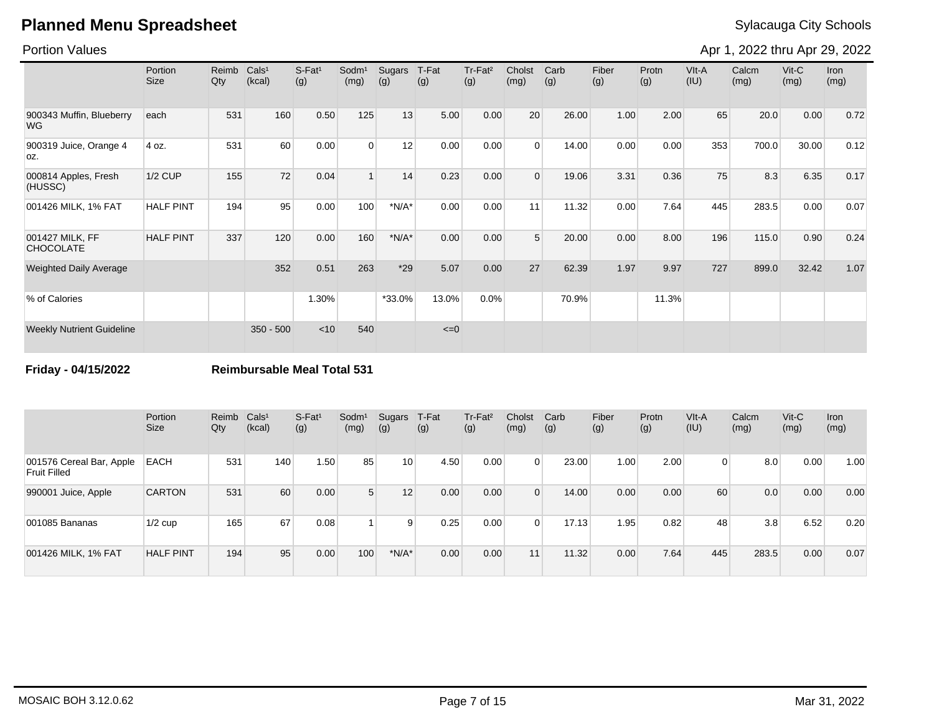### Portion Values

Apr 1, 2022 thru Apr 29, 2022

|                                       | Portion<br><b>Size</b> | Reimb<br>Qty | Cals <sup>1</sup><br>(kcal) | S-Fat <sup>1</sup><br>(g) | Sodm <sup>1</sup><br>(mg) | Sugars<br>(g) | T-Fat<br>(g) | Tr-Fat <sup>2</sup><br>(g) | Cholst<br>(mg) | Carb<br>(g) | Fiber<br>(g) | Protn<br>(g) | VIt-A<br>(IU) | Calcm<br>(mg) | $V$ it-C<br>(mg) | Iron<br>(mg) |
|---------------------------------------|------------------------|--------------|-----------------------------|---------------------------|---------------------------|---------------|--------------|----------------------------|----------------|-------------|--------------|--------------|---------------|---------------|------------------|--------------|
| 900343 Muffin, Blueberry<br><b>WG</b> | each                   | 531          | 160                         | 0.50                      | 125                       | 13            | 5.00         | 0.00                       | 20             | 26.00       | 1.00         | 2.00         | 65            | 20.0          | 0.00             | 0.72         |
| 900319 Juice, Orange 4<br>OZ.         | 4 oz.                  | 531          | 60                          | 0.00                      | $\Omega$                  | 12            | 0.00         | 0.00                       | $\Omega$       | 14.00       | 0.00         | 0.00         | 353           | 700.0         | 30.00            | 0.12         |
| 000814 Apples, Fresh<br>(HUSSC)       | <b>1/2 CUP</b>         | 155          | 72                          | 0.04                      |                           | 14            | 0.23         | 0.00                       | $\Omega$       | 19.06       | 3.31         | 0.36         | 75            | 8.3           | 6.35             | 0.17         |
| 001426 MILK, 1% FAT                   | <b>HALF PINT</b>       | 194          | 95                          | 0.00                      | 100                       | $*N/A*$       | 0.00         | 0.00                       | 11             | 11.32       | 0.00         | 7.64         | 445           | 283.5         | 0.00             | 0.07         |
| 001427 MILK, FF<br><b>CHOCOLATE</b>   | <b>HALF PINT</b>       | 337          | 120                         | 0.00                      | 160                       | $*N/A*$       | 0.00         | 0.00                       | 5              | 20.00       | 0.00         | 8.00         | 196           | 115.0         | 0.90             | 0.24         |
| <b>Weighted Daily Average</b>         |                        |              | 352                         | 0.51                      | 263                       | $*29$         | 5.07         | 0.00                       | 27             | 62.39       | 1.97         | 9.97         | 727           | 899.0         | 32.42            | 1.07         |
| % of Calories                         |                        |              |                             | 1.30%                     |                           | *33.0%        | 13.0%        | 0.0%                       |                | 70.9%       |              | 11.3%        |               |               |                  |              |
| <b>Weekly Nutrient Guideline</b>      |                        |              | $350 - 500$                 | < 10                      | 540                       |               | $\leq=0$     |                            |                |             |              |              |               |               |                  |              |

**Friday - 04/15/2022 Reimbursable Meal Total 531**

|                                                 | Portion<br>Size  | Reimb<br>Qty | Cals <sup>1</sup><br>(kcal) | $S-Fat1$<br>(g) | Sodm <sup>1</sup><br>(mg) | Sugars<br>(g)   | T-Fat<br>(g) | Tr-Fat <sup>2</sup><br>(g) | Cholst<br>(mg) | Carb<br>(g) | Fiber<br>(g) | Protn<br>(g) | VIt-A<br>(IU) | Calcm<br>(mg) | $V$ it-C<br>(mg) | <b>Iron</b><br>(mg) |
|-------------------------------------------------|------------------|--------------|-----------------------------|-----------------|---------------------------|-----------------|--------------|----------------------------|----------------|-------------|--------------|--------------|---------------|---------------|------------------|---------------------|
| 001576 Cereal Bar, Apple<br><b>Fruit Filled</b> | <b>EACH</b>      | 531          | 140                         | 1.50            | 85                        | 10 <sup>1</sup> | 4.50         | 0.00                       | $\overline{0}$ | 23.00       | 1.00         | 2.00         | 0             | 8.0           | 0.00             | 1.00                |
| 990001 Juice, Apple                             | <b>CARTON</b>    | 531          | 60                          | 0.00            | 5 <sup>5</sup>            | 12 <sup>1</sup> | 0.00         | 0.00                       | $\Omega$       | 14.00       | 0.00         | 0.00         | 60            | 0.0           | 0.00             | 0.00                |
| 001085 Bananas                                  | $1/2$ cup        | 165          | 67                          | 0.08            |                           | 9               | 0.25         | 0.00                       | $\Omega$       | 17.13       | 1.95         | 0.82         | 48            | 3.8           | 6.52             | 0.20                |
| 001426 MILK, 1% FAT                             | <b>HALF PINT</b> | 194          | 95                          | 0.00            | 100                       | $*N/A*$         | 0.00         | 0.00                       | 11             | 11.32       | 0.00         | 7.64         | 445           | 283.5         | 0.00             | 0.07                |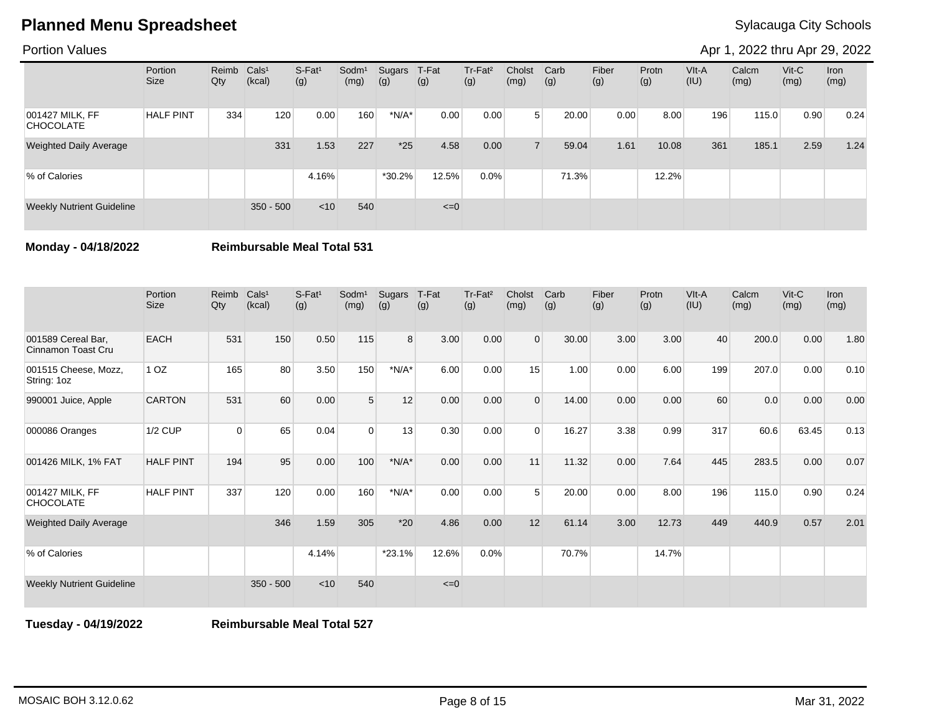### Portion Values

Apr 1, 2022 thru Apr 29, 2022

|                                     | Portion<br><b>Size</b> | Reimb Cals <sup>1</sup><br>Qty | (kcal)      | $S-Fat1$<br>(g) | Sodm <sup>1</sup><br>(mg) | Sugars<br>(g) | T-Fat<br>(g) | Tr-Fat <sup>2</sup><br>(g) | Cholst<br>(mg) | Carb<br>(g) | Fiber<br>(g) | Protn<br>(g) | VIt-A<br>(IU) | Calcm<br>(mg) | $V$ it-C<br>(mg) | Iron<br>(mg) |
|-------------------------------------|------------------------|--------------------------------|-------------|-----------------|---------------------------|---------------|--------------|----------------------------|----------------|-------------|--------------|--------------|---------------|---------------|------------------|--------------|
| 001427 MILK, FF<br><b>CHOCOLATE</b> | <b>HALF PINT</b>       | 334                            | 120         | 0.00            | 160                       | $*N/A*$       | 0.00         | 0.00                       | 5 <sup>5</sup> | 20.00       | 0.00         | 8.00         | 196           | 115.0         | 0.90             | 0.24         |
| <b>Weighted Daily Average</b>       |                        |                                | 331         | 1.53            | 227                       | $*25$         | 4.58         | 0.00                       |                | 59.04       | 1.61         | 10.08        | 361           | 185.1         | 2.59             | 1.24         |
| % of Calories                       |                        |                                |             | 4.16%           |                           | $*30.2\%$     | 12.5%        | $0.0\%$                    |                | 71.3%       |              | 12.2%        |               |               |                  |              |
| <b>Weekly Nutrient Guideline</b>    |                        |                                | $350 - 500$ | < 10            | 540                       |               | $\leq=0$     |                            |                |             |              |              |               |               |                  |              |

**Monday - 04/18/2022 Reimbursable Meal Total 531**

|                                          | Portion<br><b>Size</b> | Reimb<br>Qty | Cals <sup>1</sup><br>(kcal) | $S-Fat1$<br>(g) | Sodm <sup>1</sup><br>(mg) | Sugars<br>(g) | T-Fat<br>(g) | Tr-Fat <sup>2</sup><br>(g) | Cholst<br>(mg) | Carb<br>(g) | Fiber<br>(g) | Protn<br>(g) | VIt-A<br>(IU) | Calcm<br>(mg) | $V$ it-C<br>(mg) | Iron<br>(mg) |
|------------------------------------------|------------------------|--------------|-----------------------------|-----------------|---------------------------|---------------|--------------|----------------------------|----------------|-------------|--------------|--------------|---------------|---------------|------------------|--------------|
| 001589 Cereal Bar,<br>Cinnamon Toast Cru | <b>EACH</b>            | 531          | 150                         | 0.50            | 115                       | 8             | 3.00         | 0.00                       | $\Omega$       | 30.00       | 3.00         | 3.00         | 40            | 200.0         | 0.00             | 1.80         |
| 001515 Cheese, Mozz,<br>String: 1oz      | 1 <sub>OZ</sub>        | 165          | 80                          | 3.50            | 150                       | $*N/A*$       | 6.00         | 0.00                       | 15             | 1.00        | 0.00         | 6.00         | 199           | 207.0         | 0.00             | 0.10         |
| 990001 Juice, Apple                      | <b>CARTON</b>          | 531          | 60                          | 0.00            | 5                         | 12            | 0.00         | 0.00                       | $\Omega$       | 14.00       | 0.00         | 0.00         | 60            | 0.0           | 0.00             | 0.00         |
| 000086 Oranges                           | <b>1/2 CUP</b>         | $\Omega$     | 65                          | 0.04            | $\Omega$                  | 13            | 0.30         | 0.00                       | $\Omega$       | 16.27       | 3.38         | 0.99         | 317           | 60.6          | 63.45            | 0.13         |
| 001426 MILK, 1% FAT                      | <b>HALF PINT</b>       | 194          | 95                          | 0.00            | 100                       | $*N/A*$       | 0.00         | 0.00                       | 11             | 11.32       | 0.00         | 7.64         | 445           | 283.5         | 0.00             | 0.07         |
| 001427 MILK, FF<br><b>CHOCOLATE</b>      | <b>HALF PINT</b>       | 337          | 120                         | 0.00            | 160                       | $*N/A*$       | 0.00         | 0.00                       | 5              | 20.00       | 0.00         | 8.00         | 196           | 115.0         | 0.90             | 0.24         |
| <b>Weighted Daily Average</b>            |                        |              | 346                         | 1.59            | 305                       | $*20$         | 4.86         | 0.00                       | 12             | 61.14       | 3.00         | 12.73        | 449           | 440.9         | 0.57             | 2.01         |
| % of Calories                            |                        |              |                             | 4.14%           |                           | $*23.1%$      | 12.6%        | 0.0%                       |                | 70.7%       |              | 14.7%        |               |               |                  |              |
| <b>Weekly Nutrient Guideline</b>         |                        |              | $350 - 500$                 | < 10            | 540                       |               | $\leq=0$     |                            |                |             |              |              |               |               |                  |              |

**Tuesday - 04/19/2022 Reimbursable Meal Total 527**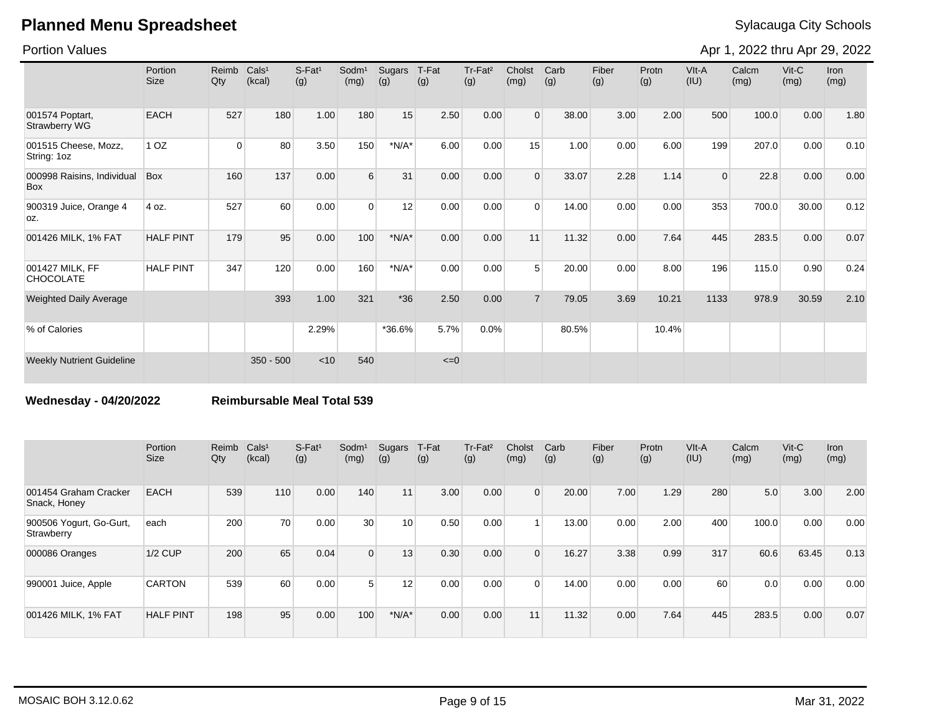Portion Values

Apr 1, 2022 thru Apr 29, 2022

|                                     | Portion<br><b>Size</b> | Reimb<br>Qty | Cals <sup>1</sup><br>(kcal) | $S-Fat1$<br>(g) | Sodm <sup>1</sup><br>(mg) | Sugars<br>(g)               | T-Fat<br>(g) | Tr-Fat <sup>2</sup><br>(g) | Cholst<br>(mg) | Carb<br>(g) | Fiber<br>(g) | Protn<br>(g) | VIt-A<br>(IU) | Calcm<br>(mg) | $V$ it-C<br>(mg) | <b>Iron</b><br>(mg) |
|-------------------------------------|------------------------|--------------|-----------------------------|-----------------|---------------------------|-----------------------------|--------------|----------------------------|----------------|-------------|--------------|--------------|---------------|---------------|------------------|---------------------|
| 001574 Poptart,<br>Strawberry WG    | <b>EACH</b>            | 527          | 180                         | 1.00            | 180                       | 15                          | 2.50         | 0.00                       | $\Omega$       | 38.00       | 3.00         | 2.00         | 500           | 100.0         | 0.00             | 1.80                |
| 001515 Cheese, Mozz,<br>String: 1oz | 1 <sub>OZ</sub>        | 0            | 80                          | 3.50            | 150                       | $*N/A*$                     | 6.00         | 0.00                       | 15             | 1.00        | 0.00         | 6.00         | 199           | 207.0         | 0.00             | 0.10                |
| 000998 Raisins, Individual<br>Box   | <b>Box</b>             | 160          | 137                         | 0.00            | 6                         | 31                          | 0.00         | 0.00                       | $\Omega$       | 33.07       | 2.28         | 1.14         | $\Omega$      | 22.8          | 0.00             | 0.00                |
| 900319 Juice, Orange 4<br>OZ.       | 4 oz.                  | 527          | 60                          | 0.00            | $\Omega$                  | 12                          | 0.00         | 0.00                       | $\Omega$       | 14.00       | 0.00         | 0.00         | 353           | 700.0         | 30.00            | 0.12                |
| 001426 MILK, 1% FAT                 | <b>HALF PINT</b>       | 179          | 95                          | 0.00            | 100                       | $^{\star}{\sf N/A}^{\star}$ | 0.00         | 0.00                       | 11             | 11.32       | 0.00         | 7.64         | 445           | 283.5         | 0.00             | 0.07                |
| 001427 MILK, FF<br><b>CHOCOLATE</b> | <b>HALF PINT</b>       | 347          | 120                         | 0.00            | 160                       | $*N/A*$                     | 0.00         | 0.00                       | $5^{\circ}$    | 20.00       | 0.00         | 8.00         | 196           | 115.0         | 0.90             | 0.24                |
| <b>Weighted Daily Average</b>       |                        |              | 393                         | 1.00            | 321                       | $*36$                       | 2.50         | 0.00                       | $\overline{7}$ | 79.05       | 3.69         | 10.21        | 1133          | 978.9         | 30.59            | 2.10                |
| % of Calories                       |                        |              |                             | 2.29%           |                           | *36.6%                      | 5.7%         | 0.0%                       |                | 80.5%       |              | 10.4%        |               |               |                  |                     |
| <b>Weekly Nutrient Guideline</b>    |                        |              | $350 - 500$                 | < 10            | 540                       |                             | $\leq=0$     |                            |                |             |              |              |               |               |                  |                     |

**Wednesday - 04/20/2022 Reimbursable Meal Total 539**

|                                       | Portion<br>Size  | Reimb<br>Qty | CalS <sup>1</sup><br>(kcal) | $S$ -Fat <sup>1</sup><br>(g) | Sodm <sup>1</sup><br>(mg) | Sugars<br>(g) | T-Fat<br>(g) | Tr-Fat <sup>2</sup><br>(g) | Cholst<br>(mg)  | Carb<br>(g) | Fiber<br>(g) | Protn<br>(g) | VIt-A<br>(IU) | Calcm<br>(mg) | $V$ it-C<br>(mg) | <b>Iron</b><br>(mg) |
|---------------------------------------|------------------|--------------|-----------------------------|------------------------------|---------------------------|---------------|--------------|----------------------------|-----------------|-------------|--------------|--------------|---------------|---------------|------------------|---------------------|
| 001454 Graham Cracker<br>Snack, Honey | <b>EACH</b>      | 539          | 110                         | 0.00                         | 140                       | 11            | 3.00         | 0.00                       | $\Omega$        | 20.00       | 7.00         | 1.29         | 280           | 5.0           | 3.00             | 2.00                |
| 900506 Yogurt, Go-Gurt,<br>Strawberry | each             | 200          | 70                          | 0.00                         | 30 <sup>°</sup>           | 10            | 0.50         | 0.00                       |                 | 13.00       | 0.00         | 2.00         | 400           | 100.0         | 0.00             | 0.00                |
| 000086 Oranges                        | 1/2 CUP          | 200          | 65                          | 0.04                         | $\Omega$                  | 13            | 0.30         | 0.00                       | $\Omega$        | 16.27       | 3.38         | 0.99         | 317           | 60.6          | 63.45            | 0.13                |
| 990001 Juice, Apple                   | <b>CARTON</b>    | 539          | 60                          | 0.00                         | 5 <sup>1</sup>            | 12            | 0.00         | 0.00                       | $\Omega$        | 14.00       | 0.00         | 0.00         | 60            | 0.0           | 0.00             | 0.00                |
| 001426 MILK, 1% FAT                   | <b>HALF PINT</b> | 198          | 95                          | 0.00                         | 100                       | $*N/A*$       | 0.00         | 0.00                       | 11 <sub>1</sub> | 11.32       | 0.00         | 7.64         | 445           | 283.5         | 0.00             | 0.07                |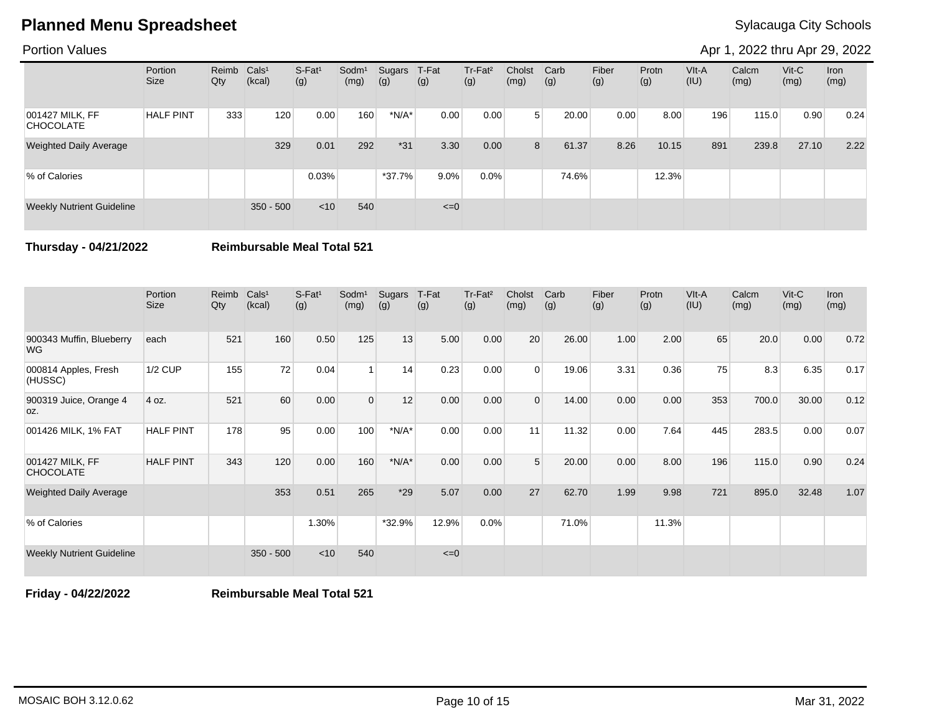### Portion Values

Apr 1, 2022 thru Apr 29, 2022

|                                     | Portion<br><b>Size</b> | Reimb Cals <sup>1</sup><br>Qty | (kcal)      | S-Fat <sup>1</sup><br>(g) | Sodm <sup>1</sup><br>(mg) | Sugars<br>(g) | T-Fat<br>(g) | Tr-Fat <sup>2</sup><br>(g) | Cholst<br>(mg) | Carb<br>(g) | Fiber<br>(g) | Protn<br>(g) | VIt-A<br>(IU) | Calcm<br>(mg) | $V$ it-C<br>(mg) | Iron<br>(mg) |
|-------------------------------------|------------------------|--------------------------------|-------------|---------------------------|---------------------------|---------------|--------------|----------------------------|----------------|-------------|--------------|--------------|---------------|---------------|------------------|--------------|
| 001427 MILK, FF<br><b>CHOCOLATE</b> | <b>HALF PINT</b>       | 333                            | 120         | 0.00                      | 160                       | $*N/A*$       | 0.00         | 0.00                       | 5 <sup>5</sup> | 20.00       | 0.00         | 8.00         | 196           | 115.0         | 0.90             | 0.24         |
| <b>Weighted Daily Average</b>       |                        |                                | 329         | 0.01                      | 292                       | $*31$         | 3.30         | 0.00                       | 8              | 61.37       | 8.26         | 10.15        | 891           | 239.8         | 27.10            | 2.22         |
| % of Calories                       |                        |                                |             | 0.03%                     |                           | $*37.7%$      | $9.0\%$      | $0.0\%$                    |                | 74.6%       |              | 12.3%        |               |               |                  |              |
| <b>Weekly Nutrient Guideline</b>    |                        |                                | $350 - 500$ | $<$ 10                    | 540                       |               | $\leq=0$     |                            |                |             |              |              |               |               |                  |              |

**Thursday - 04/21/2022 Reimbursable Meal Total 521**

|                                       | Portion<br><b>Size</b> | Reimb<br>Qty | Cals <sup>1</sup><br>(kcal) | $S-Fat1$<br>(g) | Sodm <sup>1</sup><br>(mg) | Sugars<br>(g) | T-Fat<br>(g) | Tr-Fat <sup>2</sup><br>(g) | Cholst<br>(mg) | Carb<br>(g) | Fiber<br>(g) | Protn<br>(g) | VIt-A<br>(IU) | Calcm<br>(mg) | $V$ it-C<br>(mg) | <b>Iron</b><br>(mg) |
|---------------------------------------|------------------------|--------------|-----------------------------|-----------------|---------------------------|---------------|--------------|----------------------------|----------------|-------------|--------------|--------------|---------------|---------------|------------------|---------------------|
| 900343 Muffin, Blueberry<br><b>WG</b> | each                   | 521          | 160                         | 0.50            | 125                       | 13            | 5.00         | 0.00                       | 20             | 26.00       | 1.00         | 2.00         | 65            | 20.0          | 0.00             | 0.72                |
| 000814 Apples, Fresh<br>(HUSSC)       | <b>1/2 CUP</b>         | 155          | 72                          | 0.04            |                           | 14            | 0.23         | 0.00                       | $\Omega$       | 19.06       | 3.31         | 0.36         | 75            | 8.3           | 6.35             | 0.17                |
| 900319 Juice, Orange 4<br>OZ.         | 4 oz.                  | 521          | 60                          | 0.00            | $\Omega$                  | 12            | 0.00         | 0.00                       | $\Omega$       | 14.00       | 0.00         | 0.00         | 353           | 700.0         | 30.00            | 0.12                |
| 001426 MILK, 1% FAT                   | <b>HALF PINT</b>       | 178          | 95                          | 0.00            | 100                       | $*N/A*$       | 0.00         | 0.00                       | 11             | 11.32       | 0.00         | 7.64         | 445           | 283.5         | 0.00             | 0.07                |
| 001427 MILK, FF<br><b>CHOCOLATE</b>   | <b>HALF PINT</b>       | 343          | 120                         | 0.00            | 160                       | $*N/A*$       | 0.00         | 0.00                       | 5              | 20.00       | 0.00         | 8.00         | 196           | 115.0         | 0.90             | 0.24                |
| <b>Weighted Daily Average</b>         |                        |              | 353                         | 0.51            | 265                       | $*29$         | 5.07         | 0.00                       | 27             | 62.70       | 1.99         | 9.98         | 721           | 895.0         | 32.48            | 1.07                |
| % of Calories                         |                        |              |                             | 1.30%           |                           | *32.9%        | 12.9%        | 0.0%                       |                | 71.0%       |              | 11.3%        |               |               |                  |                     |
| <b>Weekly Nutrient Guideline</b>      |                        |              | $350 - 500$                 | < 10            | 540                       |               | $\leq=0$     |                            |                |             |              |              |               |               |                  |                     |

**Friday - 04/22/2022 Reimbursable Meal Total 521**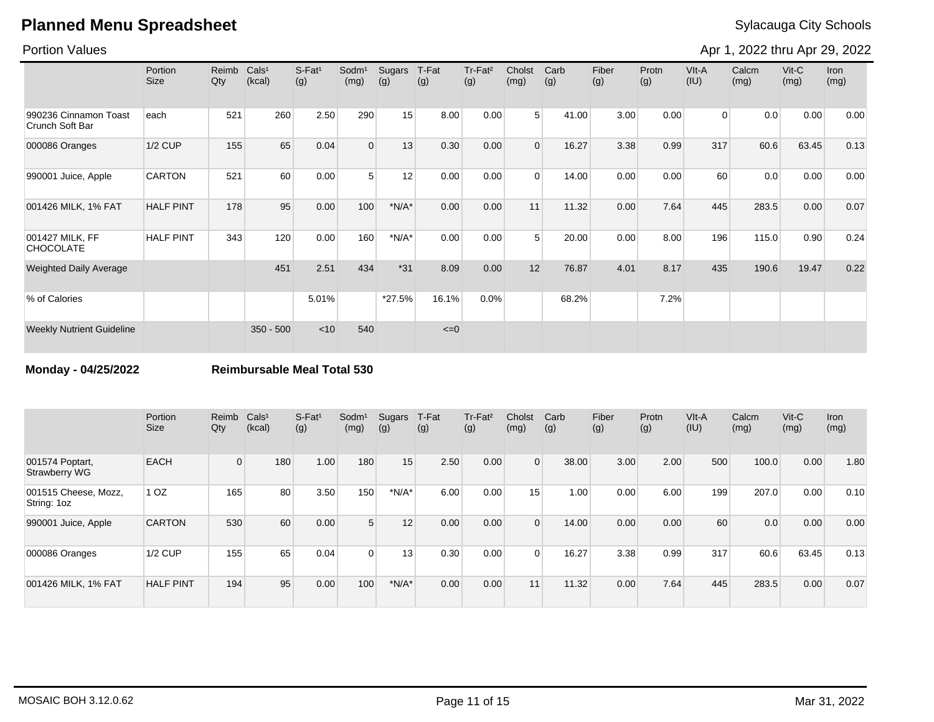### Portion Values

Apr 1, 2022 thru Apr 29, 2022

|                                          | Portion<br><b>Size</b> | Reimb<br>Qty | Cals <sup>1</sup><br>(kcal) | $S-Fat1$<br>(g) | Sodm <sup>1</sup><br>(mg) | Sugars<br>(g) | T-Fat<br>(g) | Tr-Fat <sup>2</sup><br>(g) | Cholst<br>(mg) | Carb<br>(g) | Fiber<br>(g) | Protn<br>(g) | VIt-A<br>(IU)  | Calcm<br>(mg) | $V$ it-C<br>(mg) | Iron<br>(mg) |
|------------------------------------------|------------------------|--------------|-----------------------------|-----------------|---------------------------|---------------|--------------|----------------------------|----------------|-------------|--------------|--------------|----------------|---------------|------------------|--------------|
| 990236 Cinnamon Toast<br>Crunch Soft Bar | each                   | 521          | 260                         | 2.50            | 290                       | 15            | 8.00         | 0.00                       | 5 <sup>1</sup> | 41.00       | 3.00         | 0.00         | $\overline{0}$ | 0.0           | 0.00             | 0.00         |
| 000086 Oranges                           | $1/2$ CUP              | 155          | 65                          | 0.04            | $\overline{0}$            | 13            | 0.30         | 0.00                       | $\mathbf 0$    | 16.27       | 3.38         | 0.99         | 317            | 60.6          | 63.45            | 0.13         |
| 990001 Juice, Apple                      | <b>CARTON</b>          | 521          | 60                          | 0.00            | 5                         | 12            | 0.00         | 0.00                       | $\mathbf 0$    | 14.00       | 0.00         | 0.00         | 60             | 0.0           | 0.00             | 0.00         |
| 001426 MILK, 1% FAT                      | <b>HALF PINT</b>       | 178          | 95                          | 0.00            | 100                       | $*N/A*$       | 0.00         | 0.00                       | 11             | 11.32       | 0.00         | 7.64         | 445            | 283.5         | 0.00             | 0.07         |
| 001427 MILK, FF<br><b>CHOCOLATE</b>      | <b>HALF PINT</b>       | 343          | 120                         | 0.00            | 160                       | $*N/A*$       | 0.00         | 0.00                       | 5              | 20.00       | 0.00         | 8.00         | 196            | 115.0         | 0.90             | 0.24         |
| <b>Weighted Daily Average</b>            |                        |              | 451                         | 2.51            | 434                       | $*31$         | 8.09         | 0.00                       | 12             | 76.87       | 4.01         | 8.17         | 435            | 190.6         | 19.47            | 0.22         |
| % of Calories                            |                        |              |                             | 5.01%           |                           | *27.5%        | 16.1%        | 0.0%                       |                | 68.2%       |              | 7.2%         |                |               |                  |              |
| <b>Weekly Nutrient Guideline</b>         |                        |              | $350 - 500$                 | < 10            | 540                       |               | $\leq=0$     |                            |                |             |              |              |                |               |                  |              |

**Monday - 04/25/2022 Reimbursable Meal Total 530**

|                                         | Portion<br><b>Size</b> | Reimb<br>Qty | Cals <sup>1</sup><br>(kcal) | $S-Fat1$<br>(g) | Sodm <sup>1</sup><br>(mg) | Sugars<br>(g) | T-Fat<br>(g) | Tr-Fat <sup>2</sup><br>(g) | Cholst<br>(mg) | Carb<br>(g) | Fiber<br>(g) | Protn<br>(g) | VIt-A<br>(IU) | Calcm<br>(mg) | $V$ it-C<br>(mg) | <b>Iron</b><br>(mg) |
|-----------------------------------------|------------------------|--------------|-----------------------------|-----------------|---------------------------|---------------|--------------|----------------------------|----------------|-------------|--------------|--------------|---------------|---------------|------------------|---------------------|
| 001574 Poptart,<br><b>Strawberry WG</b> | <b>EACH</b>            | $\Omega$     | 180                         | 1.00            | 180                       | 15            | 2.50         | 0.00                       | $\Omega$       | 38.00       | 3.00         | 2.00         | 500           | 100.0         | 0.00             | 1.80                |
| 001515 Cheese, Mozz,<br>String: 1oz     | 1 <sub>OZ</sub>        | 165          | 80                          | 3.50            | 150                       | $*N/A*$       | 6.00         | 0.00                       | 15             | 1.00        | 0.00         | 6.00         | 199           | 207.0         | 0.00             | 0.10                |
| 990001 Juice, Apple                     | <b>CARTON</b>          | 530          | 60                          | 0.00            | 5 <sup>1</sup>            | 12            | 0.00         | 0.00                       | $\Omega$       | 14.00       | 0.00         | 0.00         | 60            | 0.0           | 0.00             | 0.00                |
| 000086 Oranges                          | $1/2$ CUP              | 155          | 65                          | 0.04            | $\overline{0}$            | 13            | 0.30         | 0.00                       | $\Omega$       | 16.27       | 3.38         | 0.99         | 317           | 60.6          | 63.45            | 0.13                |
| 001426 MILK, 1% FAT                     | <b>HALF PINT</b>       | 194          | 95                          | 0.00            | 100                       | $*N/A*$       | 0.00         | 0.00                       | 11             | 11.32       | 0.00         | 7.64         | 445           | 283.5         | 0.00             | 0.07                |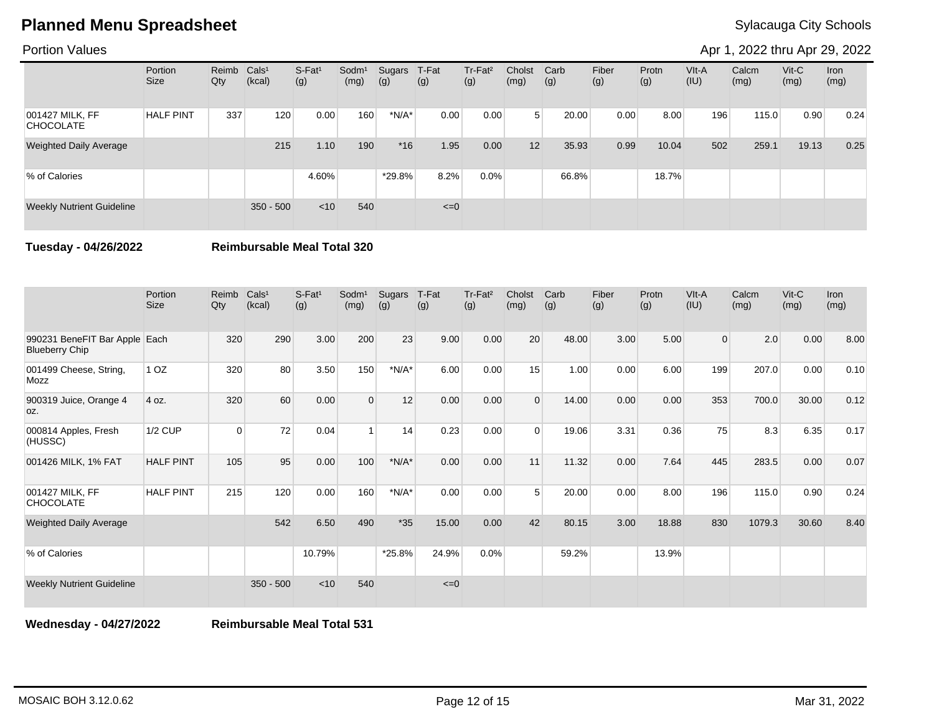### Portion Values

Apr 1, 2022 thru Apr 29, 2022

|                                     | Portion<br><b>Size</b> | Reimb<br>Qty | Cals <sup>1</sup><br>(kcal) | $S-Fat1$<br>(g) | Sodm <sup>1</sup><br>(mg) | Sugars<br>(g) | T-Fat<br>(g) | Tr-Fat <sup>2</sup><br>(g) | Cholst<br>(mg) | Carb<br>(g) | Fiber<br>(g) | Protn<br>(g) | VIt-A<br>(IU) | Calcm<br>(mg) | $V$ it-C<br>(mg) | Iron<br>(mg) |
|-------------------------------------|------------------------|--------------|-----------------------------|-----------------|---------------------------|---------------|--------------|----------------------------|----------------|-------------|--------------|--------------|---------------|---------------|------------------|--------------|
| 001427 MILK, FF<br><b>CHOCOLATE</b> | <b>HALF PINT</b>       | 337          | 120                         | 0.00            | 160                       | $*N/A*$       | 0.00         | 0.00                       | 5              | 20.00       | 0.00         | 8.00         | 196           | 115.0         | 0.90             | 0.24         |
| <b>Weighted Daily Average</b>       |                        |              | 215                         | 1.10            | 190                       | $*16$         | 1.95         | 0.00                       | 12             | 35.93       | 0.99         | 10.04        | 502           | 259.1         | 19.13            | 0.25         |
| % of Calories                       |                        |              |                             | 4.60%           |                           | *29.8%        | 8.2%         | 0.0%                       |                | 66.8%       |              | 18.7%        |               |               |                  |              |
| <b>Weekly Nutrient Guideline</b>    |                        |              | $350 - 500$                 | $<$ 10          | 540                       |               | $\leq=0$     |                            |                |             |              |              |               |               |                  |              |

**Tuesday - 04/26/2022 Reimbursable Meal Total 320**

|                                                        | Portion<br><b>Size</b> | Reimb<br>Qty | Cals <sup>1</sup><br>(kcal) | $S-Fat1$<br>(g) | Sodm <sup>1</sup><br>(mg) | Sugars<br>(g) | T-Fat<br>(g) | Tr-Fat <sup>2</sup><br>(g) | Cholst<br>(mg) | Carb<br>(g) | Fiber<br>(g) | Protn<br>(g) | VIt-A<br>(IU)  | Calcm<br>(mg) | $V$ it-C<br>(mg) | Iron<br>(mg) |
|--------------------------------------------------------|------------------------|--------------|-----------------------------|-----------------|---------------------------|---------------|--------------|----------------------------|----------------|-------------|--------------|--------------|----------------|---------------|------------------|--------------|
| 990231 BeneFIT Bar Apple Each<br><b>Blueberry Chip</b> |                        | 320          | 290                         | 3.00            | 200                       | 23            | 9.00         | 0.00                       | 20             | 48.00       | 3.00         | 5.00         | $\overline{0}$ | 2.0           | 0.00             | 8.00         |
| 001499 Cheese, String,<br><b>Mozz</b>                  | 1 <sub>OZ</sub>        | 320          | 80                          | 3.50            | 150                       | $*N/A*$       | 6.00         | 0.00                       | 15             | 1.00        | 0.00         | 6.00         | 199            | 207.0         | 0.00             | 0.10         |
| 900319 Juice, Orange 4<br>OZ.                          | 4 oz.                  | 320          | 60                          | 0.00            | $\Omega$                  | 12            | 0.00         | 0.00                       | $\Omega$       | 14.00       | 0.00         | 0.00         | 353            | 700.0         | 30.00            | 0.12         |
| 000814 Apples, Fresh<br>(HUSSC)                        | <b>1/2 CUP</b>         | $\Omega$     | 72                          | 0.04            | 1                         | 14            | 0.23         | 0.00                       | $\Omega$       | 19.06       | 3.31         | 0.36         | 75             | 8.3           | 6.35             | 0.17         |
| 001426 MILK, 1% FAT                                    | <b>HALF PINT</b>       | 105          | 95                          | 0.00            | 100                       | $*N/A*$       | 0.00         | 0.00                       | 11             | 11.32       | 0.00         | 7.64         | 445            | 283.5         | 0.00             | 0.07         |
| 001427 MILK, FF<br><b>CHOCOLATE</b>                    | <b>HALF PINT</b>       | 215          | 120                         | 0.00            | 160                       | $*N/A*$       | 0.00         | 0.00                       | 5              | 20.00       | 0.00         | 8.00         | 196            | 115.0         | 0.90             | 0.24         |
| <b>Weighted Daily Average</b>                          |                        |              | 542                         | 6.50            | 490                       | $*35$         | 15.00        | 0.00                       | 42             | 80.15       | 3.00         | 18.88        | 830            | 1079.3        | 30.60            | 8.40         |
| % of Calories                                          |                        |              |                             | 10.79%          |                           | *25.8%        | 24.9%        | 0.0%                       |                | 59.2%       |              | 13.9%        |                |               |                  |              |
| <b>Weekly Nutrient Guideline</b>                       |                        |              | $350 - 500$                 | < 10            | 540                       |               | $\leq=0$     |                            |                |             |              |              |                |               |                  |              |

**Wednesday - 04/27/2022 Reimbursable Meal Total 531**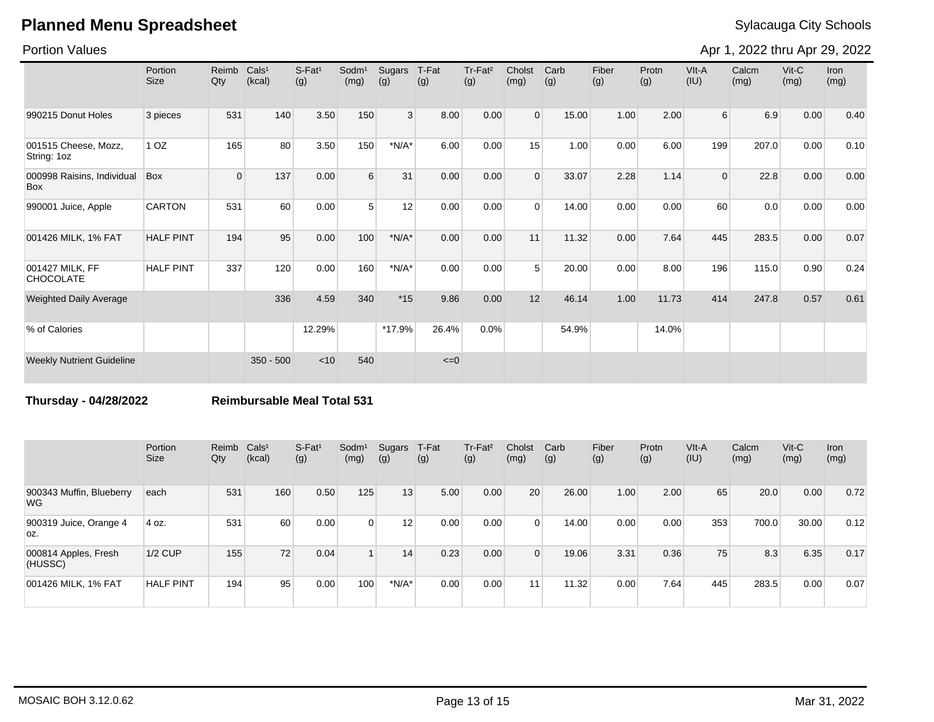### Portion Values

Apr 1, 2022 thru Apr 29, 2022

|                                     | Portion<br><b>Size</b> | Reimb<br>Qty | Cals <sup>1</sup><br>(kcal) | S-Fat <sup>1</sup><br>(g) | Sodm <sup>1</sup><br>(mg) | Sugars<br>(g)  | T-Fat<br>(g) | Tr-Fat <sup>2</sup><br>(g) | Cholst<br>(mg) | Carb<br>(g) | Fiber<br>(g) | Protn<br>(g) | VIt-A<br>(IU) | Calcm<br>(mg) | $V$ it-C<br>(mg) | <b>Iron</b><br>(mg) |
|-------------------------------------|------------------------|--------------|-----------------------------|---------------------------|---------------------------|----------------|--------------|----------------------------|----------------|-------------|--------------|--------------|---------------|---------------|------------------|---------------------|
| 990215 Donut Holes                  | 3 pieces               | 531          | 140                         | 3.50                      | 150                       | 3 <sup>1</sup> | 8.00         | 0.00                       | $\Omega$       | 15.00       | 1.00         | 2.00         | $6 \mid$      | 6.9           | 0.00             | 0.40                |
| 001515 Cheese, Mozz,<br>String: 1oz | 1 <sub>OZ</sub>        | 165          | 80                          | 3.50                      | 150                       | $*N/A*$        | 6.00         | 0.00                       | 15             | 1.00        | 0.00         | 6.00         | 199           | 207.0         | 0.00             | 0.10                |
| 000998 Raisins, Individual<br>Box   | Box                    | $\Omega$     | 137                         | 0.00                      | 6                         | 31             | 0.00         | 0.00                       | $\Omega$       | 33.07       | 2.28         | 1.14         | 0             | 22.8          | 0.00             | 0.00                |
| 990001 Juice, Apple                 | <b>CARTON</b>          | 531          | 60                          | 0.00                      | 5                         | 12             | 0.00         | 0.00                       | $\Omega$       | 14.00       | 0.00         | 0.00         | 60            | 0.0           | 0.00             | 0.00                |
| 001426 MILK, 1% FAT                 | <b>HALF PINT</b>       | 194          | 95                          | 0.00                      | 100                       | $*N/A*$        | 0.00         | 0.00                       | 11             | 11.32       | 0.00         | 7.64         | 445           | 283.5         | 0.00             | 0.07                |
| 001427 MILK, FF<br><b>CHOCOLATE</b> | <b>HALF PINT</b>       | 337          | 120                         | 0.00                      | 160                       | $*N/A*$        | 0.00         | 0.00                       | $5^{\circ}$    | 20.00       | 0.00         | 8.00         | 196           | 115.0         | 0.90             | 0.24                |
| <b>Weighted Daily Average</b>       |                        |              | 336                         | 4.59                      | 340                       | $*15$          | 9.86         | 0.00                       | 12             | 46.14       | 1.00         | 11.73        | 414           | 247.8         | 0.57             | 0.61                |
| % of Calories                       |                        |              |                             | 12.29%                    |                           | *17.9%         | 26.4%        | 0.0%                       |                | 54.9%       |              | 14.0%        |               |               |                  |                     |
| <b>Weekly Nutrient Guideline</b>    |                        |              | $350 - 500$                 | < 10                      | 540                       |                | $\leq=0$     |                            |                |             |              |              |               |               |                  |                     |

**Thursday - 04/28/2022 Reimbursable Meal Total 531**

|                                       | Portion<br><b>Size</b> | Reimb Cals <sup>1</sup><br>Qty | (kcal) | $S-Fat1$<br>(g) | Sodm <sup>1</sup><br>(mg) | Sugars<br>(g) | T-Fat<br>(g) | Tr-Fat <sup>2</sup><br>(g) | Cholst<br>(mg) | Carb<br>(g) | Fiber<br>(g) | Protn<br>(g) | VIt-A<br>(IU) | Calcm<br>(mg) | $V$ it-C<br>(mg) | <b>Iron</b><br>(mg) |
|---------------------------------------|------------------------|--------------------------------|--------|-----------------|---------------------------|---------------|--------------|----------------------------|----------------|-------------|--------------|--------------|---------------|---------------|------------------|---------------------|
| 900343 Muffin, Blueberry<br><b>WG</b> | each                   | 531                            | 160    | 0.50            | 125                       | 13            | 5.00         | 0.00                       | 20             | 26.00       | 1.00         | 2.00         | 65            | 20.0          | 0.00             | 0.72                |
| 900319 Juice, Orange 4<br>OZ.         | 4 oz.                  | 531                            | 60     | 0.00            | $\overline{0}$            | 12            | 0.00         | 0.00                       | $\Omega$       | 14.00       | 0.00         | 0.00         | 353           | 700.0         | 30.00            | 0.12                |
| 000814 Apples, Fresh<br>(HUSSC)       | $1/2$ CUP              | 155                            | 72     | 0.04            |                           | 14            | 0.23         | 0.00                       | $\Omega$       | 19.06       | 3.31         | 0.36         | 75            | 8.3           | 6.35             | 0.17                |
| 001426 MILK, 1% FAT                   | <b>HALF PINT</b>       | 194                            | 95     | 0.00            | 100 <sub>1</sub>          | $*N/A*$       | 0.00         | 0.00                       | 11             | 11.32       | 0.00         | 7.64         | 445           | 283.5         | 0.00             | 0.07                |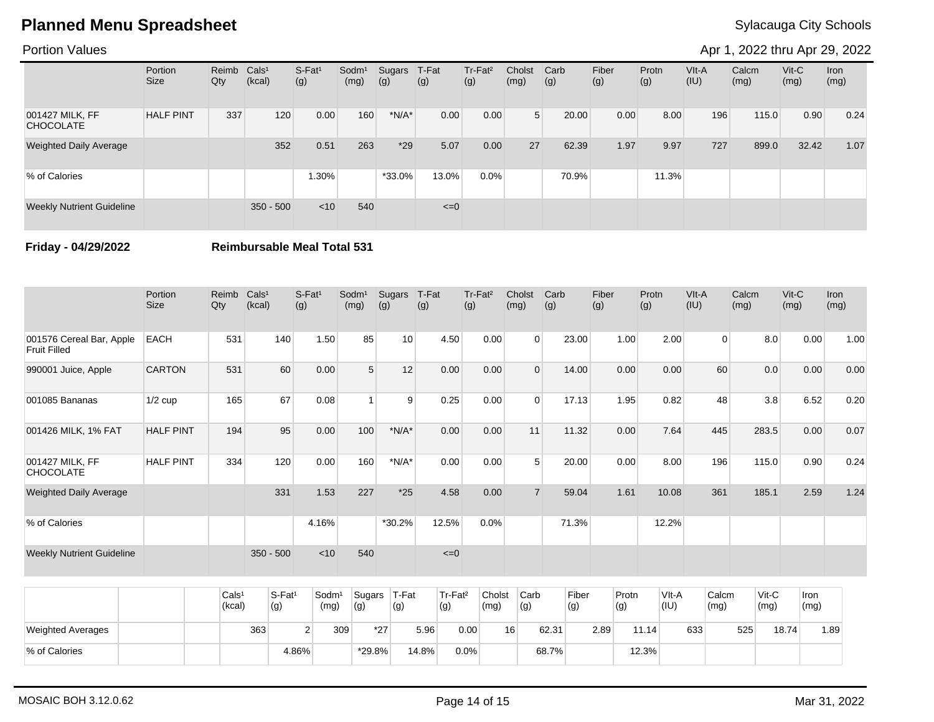### Portion Values

Apr 1, 2022 thru Apr 29, 2022

|                                     | Portion<br>Size  | Reimb Cals <sup>1</sup><br>Qty | (kcal)      | $S-Fat1$<br>(g) | Sodm <sup>1</sup><br>(mg) | Sugars<br>(g) | T-Fat<br>(g) | Tr-Fat <sup>2</sup><br>(g) | Cholst<br>(mg) | Carb<br>(g) | Fiber<br>(g) | Protn<br>(g) | VIt-A<br>(IU) | Calcm<br>(mg) | $V$ it-C<br>(mg) | Iron<br>(mg) |
|-------------------------------------|------------------|--------------------------------|-------------|-----------------|---------------------------|---------------|--------------|----------------------------|----------------|-------------|--------------|--------------|---------------|---------------|------------------|--------------|
| 001427 MILK, FF<br><b>CHOCOLATE</b> | <b>HALF PINT</b> | 337                            | 120         | 0.00            | 160                       | $*N/A*$       | 0.00         | 0.00                       | 5 <sup>1</sup> | 20.00       | 0.00         | 8.00         | 196           | 115.0         | 0.90             | 0.24         |
| <b>Weighted Daily Average</b>       |                  |                                | 352         | 0.51            | 263                       | $*29$         | 5.07         | 0.00                       | 27             | 62.39       | 1.97         | 9.97         | 727           | 899.0         | 32.42            | 1.07         |
| % of Calories                       |                  |                                |             | $1.30\%$        |                           | $*33.0\%$     | 13.0%        | $0.0\%$                    |                | 70.9%       |              | 11.3%        |               |               |                  |              |
| <b>Weekly Nutrient Guideline</b>    |                  |                                | $350 - 500$ | $<$ 10          | 540                       |               | $\leq=0$     |                            |                |             |              |              |               |               |                  |              |

**Friday - 04/29/2022 Reimbursable Meal Total 531**

|                                                 | Portion<br>Size  | Reimb<br>Qty | Cals <sup>1</sup><br>(kcal) | $S-Fat1$<br>(g) | Sodm <sup>1</sup><br>(mg) | Sugars<br>(g)   | T-Fat<br>(g) | Tr-Fat <sup>2</sup><br>(g) | Cholst<br>(mg) | Carb<br>(g) | Fiber<br>(g) | Protn<br>(g) | VIt-A<br>(IU)  | Calcm<br>(mg) | $V$ it-C<br>(mg) | Iron<br>(mg) |
|-------------------------------------------------|------------------|--------------|-----------------------------|-----------------|---------------------------|-----------------|--------------|----------------------------|----------------|-------------|--------------|--------------|----------------|---------------|------------------|--------------|
| 001576 Cereal Bar, Apple<br><b>Fruit Filled</b> | <b>EACH</b>      | 531          | 140                         | 1.50            | 85                        | 10 <sup>1</sup> | 4.50         | 0.00                       | $\Omega$       | 23.00       | 1.00         | 2.00         | $\overline{0}$ | 8.0           | 0.00             | 1.00         |
| 990001 Juice, Apple                             | <b>CARTON</b>    | 531          | 60                          | 0.00            | 5                         | 12              | 0.00         | 0.00                       | $\Omega$       | 14.00       | 0.00         | 0.00         | 60             | 0.0           | 0.00             | 0.00         |
| 001085 Bananas                                  | $1/2$ cup        | 165          | 67                          | 0.08            | 1                         | 9               | 0.25         | 0.00                       | $\Omega$       | 17.13       | 1.95         | 0.82         | 48             | 3.8           | 6.52             | 0.20         |
| 001426 MILK, 1% FAT                             | <b>HALF PINT</b> | 194          | 95                          | 0.00            | 100                       | $*N/A*$         | 0.00         | 0.00                       | 11             | 11.32       | 0.00         | 7.64         | 445            | 283.5         | 0.00             | 0.07         |
| 001427 MILK, FF<br><b>CHOCOLATE</b>             | <b>HALF PINT</b> | 334          | 120                         | 0.00            | 160                       | $*N/A*$         | 0.00         | 0.00                       | 5              | 20.00       | 0.00         | 8.00         | 196            | 115.0         | 0.90             | 0.24         |
| <b>Weighted Daily Average</b>                   |                  |              | 331                         | 1.53            | 227                       | $*25$           | 4.58         | 0.00                       |                | 59.04       | 1.61         | 10.08        | 361            | 185.1         | 2.59             | 1.24         |
| % of Calories                                   |                  |              |                             | 4.16%           |                           | $*30.2%$        | 12.5%        | 0.0%                       |                | 71.3%       |              | 12.2%        |                |               |                  |              |
| <b>Weekly Nutrient Guideline</b>                |                  |              | $350 - 500$                 | $<$ 10          | 540                       |                 | $\leq=0$     |                            |                |             |              |              |                |               |                  |              |

|                          | Cals <sup>1</sup><br>(kcal) | S-Fat <sup>1</sup><br>(g) | Sodm <sup>1</sup><br>(mg) | Sugars<br>(g) | T-Fat<br>(g) | Tr-Fat <sup>2</sup><br>(g) | Cholst<br>(mg) | Carb<br>(g) | Fiber<br>(g) | Protn<br>(g) | VIt-A<br>(IU) | Calcm<br>(mg) | $V$ it-C<br>(mg) | Iron<br>(mg) |
|--------------------------|-----------------------------|---------------------------|---------------------------|---------------|--------------|----------------------------|----------------|-------------|--------------|--------------|---------------|---------------|------------------|--------------|
| <b>Weighted Averages</b> | 363                         |                           | 309                       | $*27$         | 5.96         | 0.00                       | 16             | 62.31       | 2.89         | 11.14        | 633           | 525           | 18.74            | l.89         |
| % of Calories            |                             | 4.86%                     |                           | $*29.8\%$     | 14.8%        | 0.0%                       |                | 68.7%       |              | 12.3%        |               |               |                  |              |